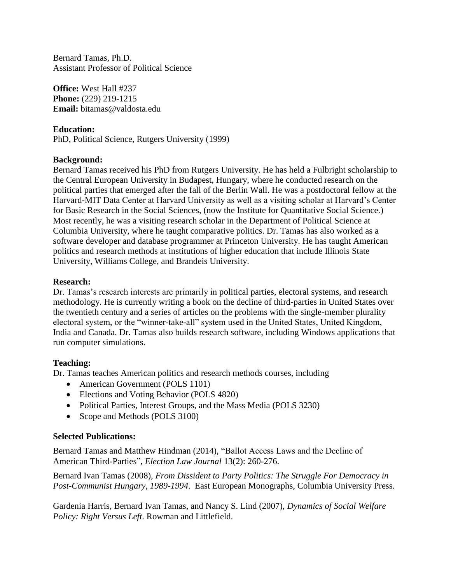Bernard Tamas, Ph.D. Assistant Professor of Political Science

**Office:** West Hall #237 **Phone:** (229) 219-1215 **Email:** bitamas@valdosta.edu

**Education:** PhD, Political Science, Rutgers University (1999)

## **Background:**

Bernard Tamas received his PhD from Rutgers University. He has held a Fulbright scholarship to the Central European University in Budapest, Hungary, where he conducted research on the political parties that emerged after the fall of the Berlin Wall. He was a postdoctoral fellow at the Harvard-MIT Data Center at Harvard University as well as a visiting scholar at Harvard's Center for Basic Research in the Social Sciences, (now the Institute for Quantitative Social Science.) Most recently, he was a visiting research scholar in the Department of Political Science at Columbia University, where he taught comparative politics. Dr. Tamas has also worked as a software developer and database programmer at Princeton University. He has taught American politics and research methods at institutions of higher education that include Illinois State University, Williams College, and Brandeis University.

## **Research:**

Dr. Tamas's research interests are primarily in political parties, electoral systems, and research methodology. He is currently writing a book on the decline of third-parties in United States over the twentieth century and a series of articles on the problems with the single-member plurality electoral system, or the "winner-take-all" system used in the United States, United Kingdom, India and Canada. Dr. Tamas also builds research software, including Windows applications that run computer simulations.

## **Teaching:**

Dr. Tamas teaches American politics and research methods courses, including

- American Government (POLS 1101)
- Elections and Voting Behavior (POLS 4820)
- Political Parties, Interest Groups, and the Mass Media (POLS 3230)
- Scope and Methods (POLS 3100)

## **Selected Publications:**

Bernard Tamas and Matthew Hindman (2014), "Ballot Access Laws and the Decline of American Third-Parties", *Election Law Journal* 13(2): 260-276.

Bernard Ivan Tamas (2008), *From Dissident to Party Politics: The Struggle For Democracy in Post-Communist Hungary, 1989-1994*. East European Monographs, Columbia University Press.

Gardenia Harris, Bernard Ivan Tamas, and Nancy S. Lind (2007), *Dynamics of Social Welfare Policy: Right Versus Left*. Rowman and Littlefield.